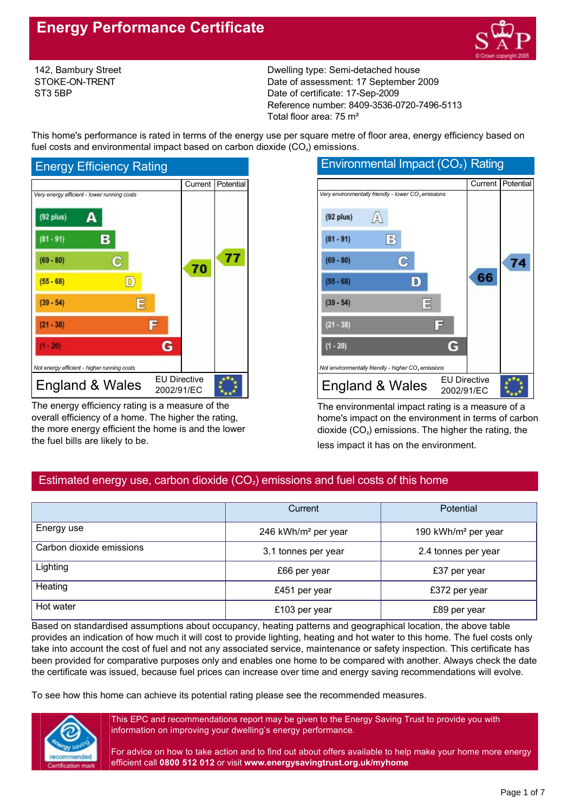

142, Bambury Street STOKE-ON-TRENT ST3 5BP

Dwelling type: Semi-detached house Date of assessment: 17 September 2009 Date of certificate: 17-Sep-2009 Reference number: 8409-3536-0720-7496-5113 Total floor area: 75 m²

This home's performance is rated in terms of the energy use per square metre of floor area, energy efficiency based on fuel costs and environmental impact based on carbon dioxide  $(CO<sub>2</sub>)$  emissions.



The energy efficiency rating is a measure of the overall efficiency of a home. The higher the rating, the more energy efficient the home is and the lower the fuel bills are likely to be.

| Environmentai impact (CO2) Rating                               |                                   |         |           |
|-----------------------------------------------------------------|-----------------------------------|---------|-----------|
|                                                                 |                                   | Current | Potential |
| Very environmentally friendly - lower CO <sub>2</sub> emissions |                                   |         |           |
| $(92$ plus)<br>A                                                |                                   |         |           |
| $(81 - 91)$<br>В                                                |                                   |         |           |
| $(69 - 80)$<br>c                                                |                                   |         | 74        |
| D<br>$(55 - 68)$                                                |                                   | 66      |           |
| $(39 - 54)$                                                     |                                   |         |           |
| $(21 - 38)$                                                     | ╔                                 |         |           |
| $(1 - 20)$                                                      | G                                 |         |           |
| Not environmentally friendly - higher CO <sub>2</sub> emissions |                                   |         |           |
| England & Wales                                                 | <b>EU Directive</b><br>2002/91/EC |         |           |

The environmental impact rating is a measure of a home's impact on the environment in terms of carbon dioxide (CO<sub>2</sub>) emissions. The higher the rating, the less impact it has on the environment.

# Estimated energy use, carbon dioxide  $(CO<sub>2</sub>)$  emissions and fuel costs of this home

|                          | Current                         | <b>Potential</b>                |
|--------------------------|---------------------------------|---------------------------------|
| Energy use               | 246 kWh/m <sup>2</sup> per year | 190 kWh/m <sup>2</sup> per year |
| Carbon dioxide emissions | 3.1 tonnes per year             | 2.4 tonnes per year             |
| Lighting                 | £66 per year                    | £37 per year                    |
| Heating                  | £451 per year                   | £372 per year                   |
| Hot water                | £103 per year                   | £89 per year                    |

Based on standardised assumptions about occupancy, heating patterns and geographical location, the above table provides an indication of how much it will cost to provide lighting, heating and hot water to this home. The fuel costs only take into account the cost of fuel and not any associated service, maintenance or safety inspection. This certificate has been provided for comparative purposes only and enables one home to be compared with another. Always check the date the certificate was issued, because fuel prices can increase over time and energy saving recommendations will evolve.

To see how this home can achieve its potential rating please see the recommended measures.



This EPC and recommendations report may be given to the Energy Saving Trust to provide you with information on improving your dwelling's energy performance.

For advice on how to take action and to find out about offers available to help make your home more energy efficient call **0800 512 012** or visit **www.energysavingtrust.org.uk/myhome**

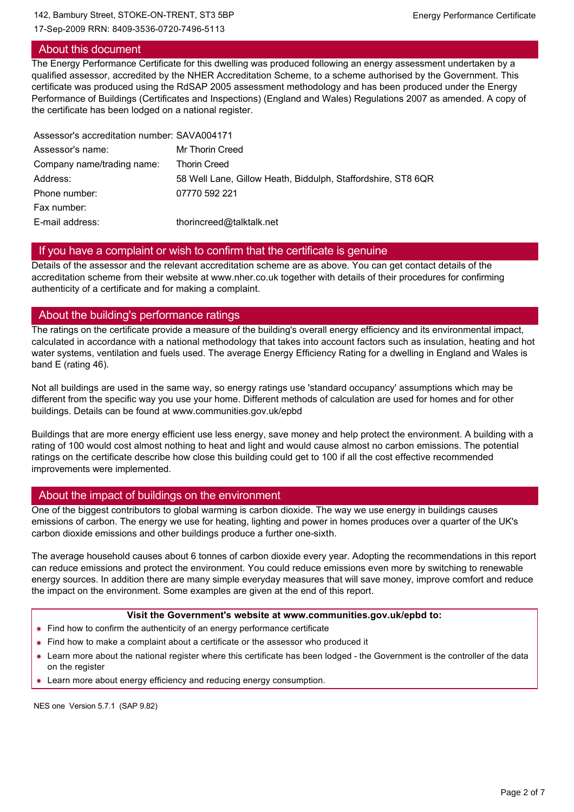#### 142, Bambury Street, STOKE-ON-TRENT, ST3 5BP Energy Performance Certificate

17-Sep-2009 RRN: 8409-3536-0720-7496-5113

## About this document

The Energy Performance Certificate for this dwelling was produced following an energy assessment undertaken by a qualified assessor, accredited by the NHER Accreditation Scheme, to a scheme authorised by the Government. This certificate was produced using the RdSAP 2005 assessment methodology and has been produced under the Energy Performance of Buildings (Certificates and Inspections) (England and Wales) Regulations 2007 as amended. A copy of the certificate has been lodged on a national register.

| Assessor's accreditation number: SAVA004171                  |
|--------------------------------------------------------------|
| Mr Thorin Creed                                              |
| <b>Thorin Creed</b>                                          |
| 58 Well Lane, Gillow Heath, Biddulph, Staffordshire, ST8 6QR |
| 07770 592 221                                                |
|                                                              |
| thorincreed@talktalk.net                                     |
|                                                              |

## If you have a complaint or wish to confirm that the certificate is genuine

Details of the assessor and the relevant accreditation scheme are as above. You can get contact details of the accreditation scheme from their website at www.nher.co.uk together with details of their procedures for confirming authenticity of a certificate and for making a complaint.

## About the building's performance ratings

The ratings on the certificate provide a measure of the building's overall energy efficiency and its environmental impact, calculated in accordance with a national methodology that takes into account factors such as insulation, heating and hot water systems, ventilation and fuels used. The average Energy Efficiency Rating for a dwelling in England and Wales is band E (rating 46).

Not all buildings are used in the same way, so energy ratings use 'standard occupancy' assumptions which may be different from the specific way you use your home. Different methods of calculation are used for homes and for other buildings. Details can be found at www.communities.gov.uk/epbd

Buildings that are more energy efficient use less energy, save money and help protect the environment. A building with a rating of 100 would cost almost nothing to heat and light and would cause almost no carbon emissions. The potential ratings on the certificate describe how close this building could get to 100 if all the cost effective recommended improvements were implemented.

## About the impact of buildings on the environment

One of the biggest contributors to global warming is carbon dioxide. The way we use energy in buildings causes emissions of carbon. The energy we use for heating, lighting and power in homes produces over a quarter of the UK's carbon dioxide emissions and other buildings produce a further one-sixth.

The average household causes about 6 tonnes of carbon dioxide every year. Adopting the recommendations in this report can reduce emissions and protect the environment. You could reduce emissions even more by switching to renewable energy sources. In addition there are many simple everyday measures that will save money, improve comfort and reduce the impact on the environment. Some examples are given at the end of this report.

#### **Visit the Government's website at www.communities.gov.uk/epbd to:**

- Find how to confirm the authenticity of an energy performance certificate
- Find how to make a complaint about a certificate or the assessor who produced it
- Learn more about the national register where this certificate has been lodged the Government is the controller of the data on the register
- Learn more about energy efficiency and reducing energy consumption.

NES one Version 5.7.1 (SAP 9.82)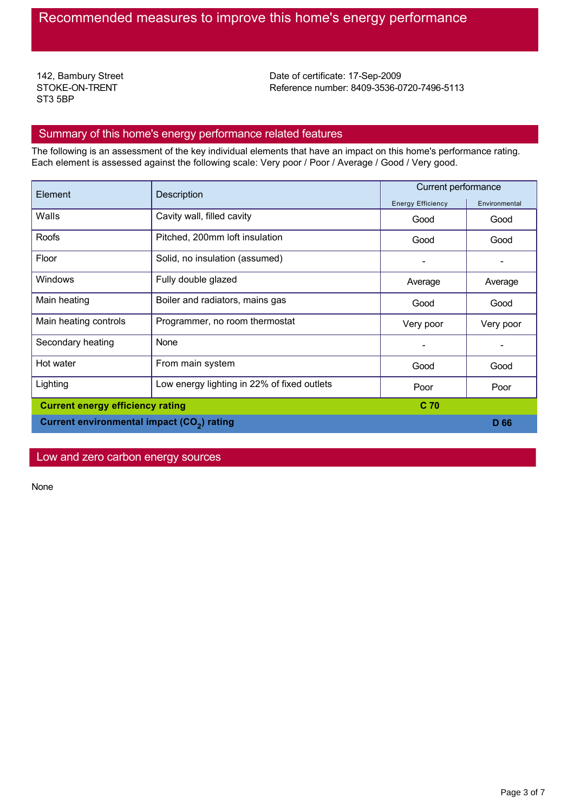142, Bambury Street STOKE-ON-TRENT ST3 5BP

Date of certificate: 17-Sep-2009 Reference number: 8409-3536-0720-7496-5113

### Summary of this home's energy performance related features

The following is an assessment of the key individual elements that have an impact on this home's performance rating. Each element is assessed against the following scale: Very poor / Poor / Average / Good / Very good.

| Element                                                | Description                                 | Current performance      |               |
|--------------------------------------------------------|---------------------------------------------|--------------------------|---------------|
|                                                        |                                             | <b>Energy Efficiency</b> | Environmental |
| Walls                                                  | Cavity wall, filled cavity                  | Good                     | Good          |
| Roofs                                                  | Pitched, 200mm loft insulation              | Good                     | Good          |
| Floor                                                  | Solid, no insulation (assumed)              |                          |               |
| <b>Windows</b>                                         | Fully double glazed                         | Average                  | Average       |
| Main heating                                           | Boiler and radiators, mains gas             | Good                     | Good          |
| Main heating controls                                  | Programmer, no room thermostat              | Very poor                | Very poor     |
| Secondary heating                                      | None                                        |                          |               |
| Hot water                                              | From main system                            | Good                     | Good          |
| Lighting                                               | Low energy lighting in 22% of fixed outlets | Poor                     | Poor          |
| <b>Current energy efficiency rating</b>                |                                             | C <sub>70</sub>          |               |
| Current environmental impact (CO <sub>2</sub> ) rating |                                             |                          | D 66          |

Low and zero carbon energy sources

None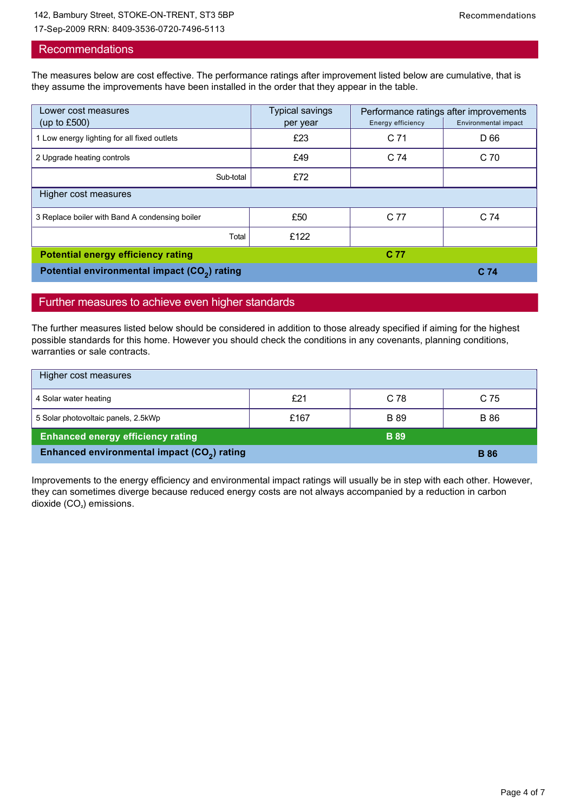#### 142, Bambury Street, STOKE-ON-TRENT, ST3 5BP Recommendations

17-Sep-2009 RRN: 8409-3536-0720-7496-5113

#### Recommendations

The measures below are cost effective. The performance ratings after improvement listed below are cumulative, that is they assume the improvements have been installed in the order that they appear in the table.

| Lower cost measures<br>(up to $£500$ )                   | <b>Typical savings</b><br>per year | Energy efficiency | Performance ratings after improvements<br>Environmental impact |
|----------------------------------------------------------|------------------------------------|-------------------|----------------------------------------------------------------|
| 1 Low energy lighting for all fixed outlets              | £23                                | C <sub>71</sub>   | D 66                                                           |
| 2 Upgrade heating controls                               | £49                                | C <sub>74</sub>   | C 70                                                           |
| Sub-total                                                | £72                                |                   |                                                                |
| Higher cost measures                                     |                                    |                   |                                                                |
| 3 Replace boiler with Band A condensing boiler           | £50                                | C 77              | C <sub>74</sub>                                                |
| Total                                                    | £122                               |                   |                                                                |
| <b>Potential energy efficiency rating</b>                |                                    | C 77              |                                                                |
| Potential environmental impact (CO <sub>2</sub> ) rating |                                    |                   | C <sub>74</sub>                                                |

#### Further measures to achieve even higher standards

The further measures listed below should be considered in addition to those already specified if aiming for the highest possible standards for this home. However you should check the conditions in any covenants, planning conditions, warranties or sale contracts.

| Higher cost measures                                    |      |             |             |
|---------------------------------------------------------|------|-------------|-------------|
| 4 Solar water heating                                   | £21  | C 78        | C 75        |
| 5 Solar photovoltaic panels, 2.5kWp                     | £167 | B 89        | <b>B</b> 86 |
| <b>Enhanced energy efficiency rating</b>                |      | <b>B</b> 89 |             |
| Enhanced environmental impact (CO <sub>2</sub> ) rating |      |             | <b>B</b> 86 |

Improvements to the energy efficiency and environmental impact ratings will usually be in step with each other. However, they can sometimes diverge because reduced energy costs are not always accompanied by a reduction in carbon dioxide  $(CO<sub>2</sub>)$  emissions.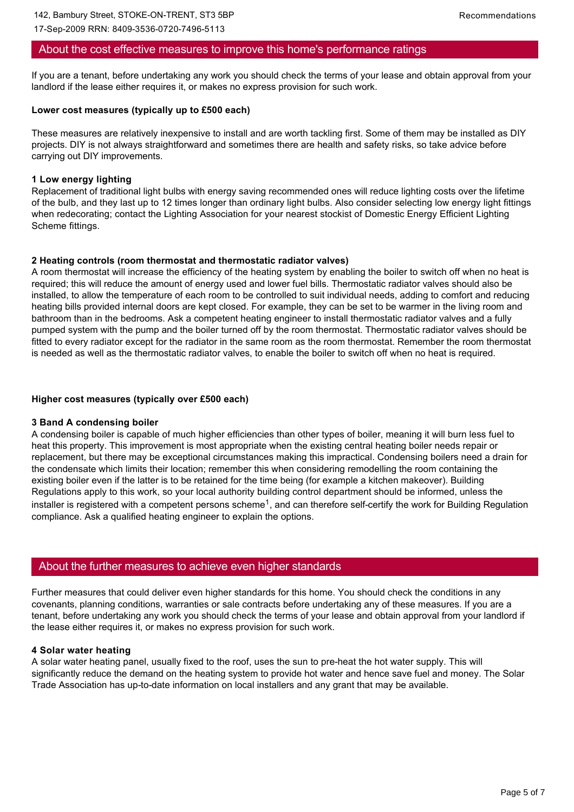17-Sep-2009 RRN: 8409-3536-0720-7496-5113

### About the cost effective measures to improve this home's performance ratings

If you are a tenant, before undertaking any work you should check the terms of your lease and obtain approval from your landlord if the lease either requires it, or makes no express provision for such work.

#### **Lower cost measures (typically up to £500 each)**

These measures are relatively inexpensive to install and are worth tackling first. Some of them may be installed as DIY projects. DIY is not always straightforward and sometimes there are health and safety risks, so take advice before carrying out DIY improvements.

#### **1 Low energy lighting**

Replacement of traditional light bulbs with energy saving recommended ones will reduce lighting costs over the lifetime of the bulb, and they last up to 12 times longer than ordinary light bulbs. Also consider selecting low energy light fittings when redecorating; contact the Lighting Association for your nearest stockist of Domestic Energy Efficient Lighting Scheme fittings.

### **2 Heating controls (room thermostat and thermostatic radiator valves)**

A room thermostat will increase the efficiency of the heating system by enabling the boiler to switch off when no heat is required; this will reduce the amount of energy used and lower fuel bills. Thermostatic radiator valves should also be installed, to allow the temperature of each room to be controlled to suit individual needs, adding to comfort and reducing heating bills provided internal doors are kept closed. For example, they can be set to be warmer in the living room and bathroom than in the bedrooms. Ask a competent heating engineer to install thermostatic radiator valves and a fully pumped system with the pump and the boiler turned off by the room thermostat. Thermostatic radiator valves should be fitted to every radiator except for the radiator in the same room as the room thermostat. Remember the room thermostat is needed as well as the thermostatic radiator valves, to enable the boiler to switch off when no heat is required.

### **Higher cost measures (typically over £500 each)**

#### **3 Band A condensing boiler**

A condensing boiler is capable of much higher efficiencies than other types of boiler, meaning it will burn less fuel to heat this property. This improvement is most appropriate when the existing central heating boiler needs repair or replacement, but there may be exceptional circumstances making this impractical. Condensing boilers need a drain for the condensate which limits their location; remember this when considering remodelling the room containing the existing boiler even if the latter is to be retained for the time being (for example a kitchen makeover). Building Regulations apply to this work, so your local authority building control department should be informed, unless the installer is registered with a competent persons scheme<sup>1</sup>, and can therefore self-certify the work for Building Regulation compliance. Ask a qualified heating engineer to explain the options.

## About the further measures to achieve even higher standards

Further measures that could deliver even higher standards for this home. You should check the conditions in any covenants, planning conditions, warranties or sale contracts before undertaking any of these measures. If you are a tenant, before undertaking any work you should check the terms of your lease and obtain approval from your landlord if the lease either requires it, or makes no express provision for such work.

### **4 Solar water heating**

A solar water heating panel, usually fixed to the roof, uses the sun to preheat the hot water supply. This will significantly reduce the demand on the heating system to provide hot water and hence save fuel and money. The Solar Trade Association has up-to-date information on local installers and any grant that may be available.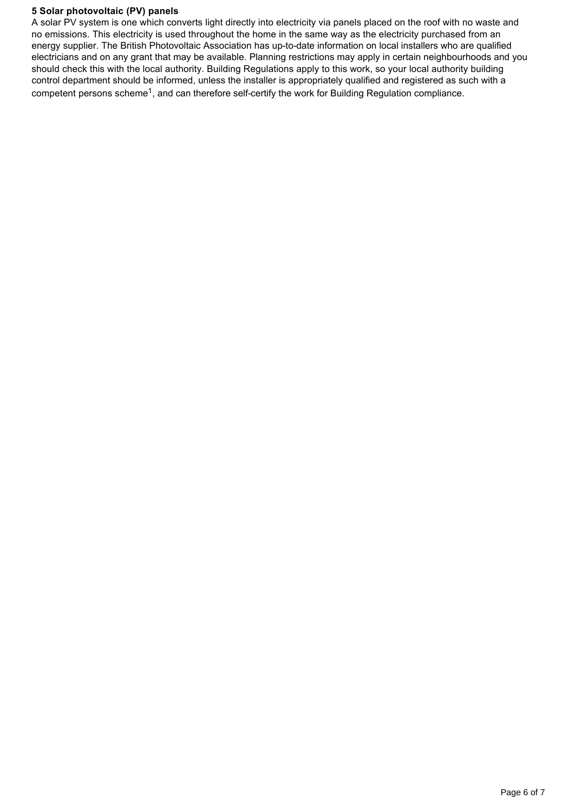#### **5 Solar photovoltaic (PV) panels**

A solar PV system is one which converts light directly into electricity via panels placed on the roof with no waste and no emissions. This electricity is used throughout the home in the same way as the electricity purchased from an energy supplier. The British Photovoltaic Association has up-to-date information on local installers who are qualified electricians and on any grant that may be available. Planning restrictions may apply in certain neighbourhoods and you should check this with the local authority. Building Regulations apply to this work, so your local authority building control department should be informed, unless the installer is appropriately qualified and registered as such with a competent persons scheme<sup>1</sup>, and can therefore self-certify the work for Building Regulation compliance.